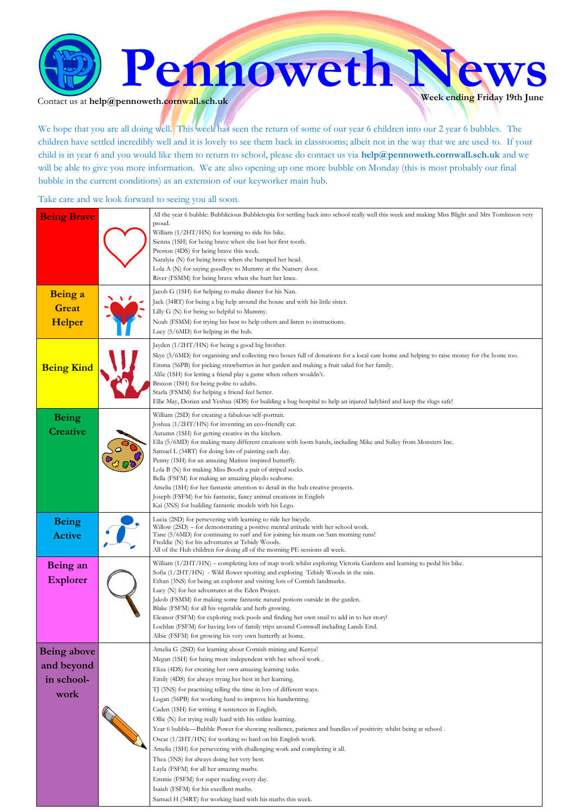

Contact us at  $\text{help@pennoweth.cornwall.sch.uk}$ 

We hope that you are all doing well. This week has seen the return of some of our year 6 children into our 2 year 6 bubbles. The children have settled incredibly well and it is lovely to see them back in classrooms; albeit not in the way that we are used to. If your child is in year 6 and you would like them to return to school, please do contact us via **help@pennoweth.cornwall.sch.uk** and we will be able to give you more information. We are also opening up one more bubble on Monday (this is most probably our final bubble in the current conditions) as an extension of our keyworker main hub.

Take care and we look forward to seeing you all soon.

| <b>Being Brave</b><br>Being a                          | All the year 6 bubble: Bubblicious Bubbletopia for settling back into school really well this week and making Miss Blight and Mrs Tomlinson very<br>proud.<br>William (1/2HT/HN) for learning to ride his bike.<br>Sienna (1SH) for being brave when she lost her first tooth.<br>Preston (4DS) for being brave this week.<br>Natalyia (N) for being brave when she bumped her head.<br>Lola A (N) for saying goodbye to Mummy at the Nursery door.<br>River (FSMM) for being brave when she hurt her knee.<br>Jacob G (1SH) for helping to make dinner for his Nan.                                                                                                                                                                                                                                                                                                                                                                                                                                             |
|--------------------------------------------------------|------------------------------------------------------------------------------------------------------------------------------------------------------------------------------------------------------------------------------------------------------------------------------------------------------------------------------------------------------------------------------------------------------------------------------------------------------------------------------------------------------------------------------------------------------------------------------------------------------------------------------------------------------------------------------------------------------------------------------------------------------------------------------------------------------------------------------------------------------------------------------------------------------------------------------------------------------------------------------------------------------------------|
| <b>Great</b><br>Helper                                 | Jack (34RT) for being a big help around the house and with his little sister.<br>Lilly G (N) for being so helpful to Mummy.<br>Noah (FSMM) for trying his best to help others and listen to instructions.<br>Lucy $(5/6MD)$ for helping in the hub.                                                                                                                                                                                                                                                                                                                                                                                                                                                                                                                                                                                                                                                                                                                                                              |
| <b>Being Kind</b>                                      | Jayden (1/2HT/HN) for being a good big brother.<br>Skye (5/6MD) for organising and collecting two boxes full of donations for a local care home and helping to raise money for the home too.<br>Emma (56PB) for picking strawberries in her garden and making a fruit salad for her family.<br>Alfie (1SH) for letting a friend play a game when others wouldn't.<br>Braxon (1SH) for being polite to adults.<br>Starla (FSMM) for helping a friend feel better.<br>Ellie May, Dorian and Yeshua (4DS) for building a bug hospital to help an injured ladybird and keep the slugs safe!                                                                                                                                                                                                                                                                                                                                                                                                                          |
| <b>Being</b><br><b>Creative</b>                        | William (2SD) for creating a fabulous self-portrait.<br>Joshua (1/2HT/HN) for inventing an eco-friendly car.<br>Autumn (1SH) for getting creative in the kitchen.<br>Ella (5/6MD) for making many different creations with loom bands, including Mike and Sulley from Monsters Inc.<br>Samuel L (34RT) for doing lots of painting each day.<br>Penny (1SH) for an amazing Matisse inspired butterfly.<br>Lola B (N) for making Miss Booth a pair of striped socks.<br>Bella (FSFM) for making an amazing playdo seahorse.<br>Amelia (1SH) for her fantastic attention to detail in the hub creative projects.<br>Joseph (FSFM) for his fantastic, fancy animal creations in English<br>Kai (3NS) for building fantastic models with his Lego.                                                                                                                                                                                                                                                                    |
| <b>Being</b><br><b>Active</b>                          | Lucia (2SD) for persevering with learning to ride her bicycle.<br>Willow (2SD) – for demonstrating a positive mental attitude with her school work.<br>Tane (5/6MD) for continuing to surf and for joining his mum on 5am morning runs!<br>Freddie (N) for his adventures at Tehidy Woods.<br>All of the Hub children for doing all of the morning PE sessions all week.                                                                                                                                                                                                                                                                                                                                                                                                                                                                                                                                                                                                                                         |
| Being an<br><b>Explorer</b>                            | William (1/2HT/HN) – completing lots of map work whilst exploring Victoria Gardens and learning to pedal his bike.<br>Sofia (1/2HT/HN) - Wild flower spotting and exploring Tehidy Woods in the rain.<br>Ethan (3NS) for being an explorer and visiting lots of Cornish landmarks.<br>Lucy (N) for her adventures at the Eden Project.<br>Jakob (FSMM) for making some fantastic natural potions outside in the garden.<br>Blake (FSFM) for all his vegetable and herb growing.<br>Eleanor (FSFM) for exploring rock pools and finding her own snail to add in to her story!<br>Lochlan (FSFM) for having lots of family trips around Cornwall including Lands End.<br>Albie (FSFM) for growing his very own butterfly at home.                                                                                                                                                                                                                                                                                  |
| <b>Being above</b><br>and beyond<br>in school-<br>work | Amelia G (2SD) for learning about Cornish mining and Kenyal<br>Megan (1SH) for being more independent with her school work.<br>Eliza (4DS) for creating her own amazing learning tasks.<br>Emily (4DS) for always trying her best in her learning.<br>TJ (3NS) for practising telling the time in lots of different ways.<br>Logan (56PB) for working hard to improve his handwriting.<br>Caden (1SH) for writing 4 sentences in English.<br>Ollie (N) for trying really hard with his online learning.<br>Year 6 bubble—Bubble Power for showing resilience, patience and bundles of positivity whilst being at school.<br>Oscar (1/2HT/HN) for working so hard on his English work.<br>Amelia (1SH) for persevering with challenging work and completing it all.<br>Thea (3NS) for always doing her very best.<br>Layla (FSFM) for all her amazing maths.<br>Emmie (FSFM) for super reading every day.<br>Isaiah (FSFM) for his excellent maths.<br>Samuel H (34RT) for working hard with his maths this week. |